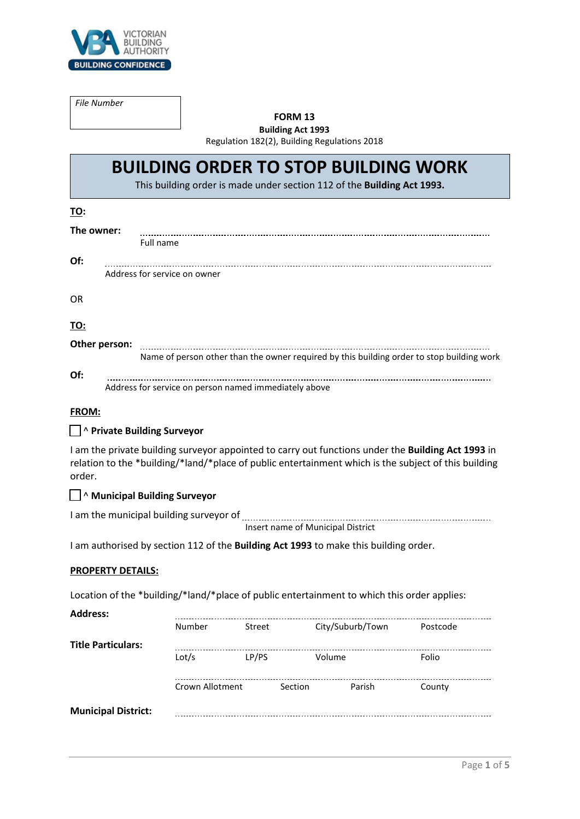

*File Number*

## **FORM 13**

**Building Act 1993** Regulation 182(2), Building Regulations 2018

# **BUILDING ORDER TO STOP BUILDING WORK**

This building order is made under section 112 of the **Building Act 1993.**

| TO:                          |                                                                                           |  |  |  |  |
|------------------------------|-------------------------------------------------------------------------------------------|--|--|--|--|
| The owner:                   |                                                                                           |  |  |  |  |
|                              | Full name                                                                                 |  |  |  |  |
| Of:                          |                                                                                           |  |  |  |  |
| Address for service on owner |                                                                                           |  |  |  |  |
| OR                           |                                                                                           |  |  |  |  |
| TO:                          |                                                                                           |  |  |  |  |
| Other person:                | Name of person other than the owner required by this building order to stop building work |  |  |  |  |
| Of:                          | Address for service on person named immediately above                                     |  |  |  |  |

## **FROM:**

## ☐ ^ **Private Building Surveyor**

I am the private building surveyor appointed to carry out functions under the **Building Act 1993** in relation to the \*building/\*land/\*place of public entertainment which is the subject of this building order.

## ☐ ^ **Municipal Building Surveyor**

I am the municipal building surveyor of

Insert name of Municipal District

I am authorised by section 112 of the **Building Act 1993** to make this building order.

#### **PROPERTY DETAILS:**

Location of the \*building/\*land/\*place of public entertainment to which this order applies:

| <b>Address:</b>            |                 |         |                  |          |  |  |
|----------------------------|-----------------|---------|------------------|----------|--|--|
|                            | Number          | Street  | City/Suburb/Town | Postcode |  |  |
| <b>Title Particulars:</b>  |                 |         |                  |          |  |  |
|                            | Lot/s           | LP/PS   | Volume           | Folio    |  |  |
|                            | Crown Allotment | Section | Parish           | County   |  |  |
| <b>Municipal District:</b> |                 |         |                  |          |  |  |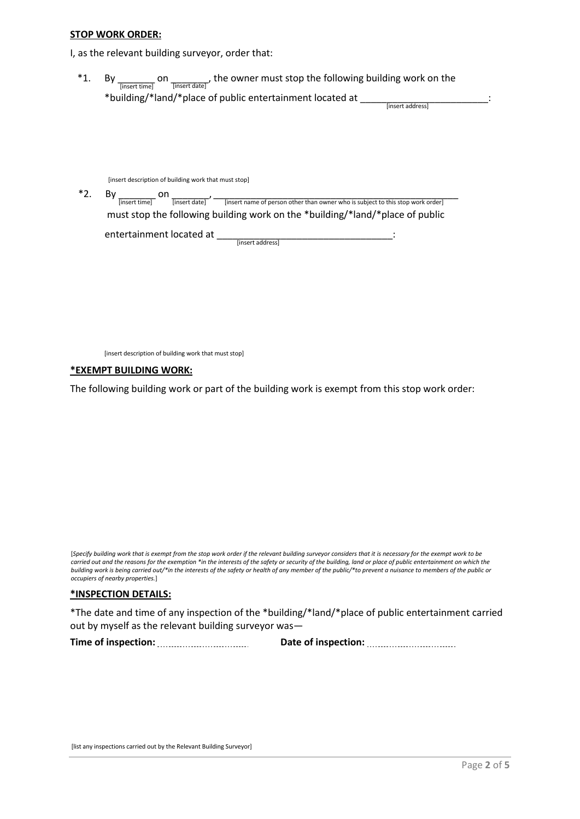#### **STOP WORK ORDER:**

I, as the relevant building surveyor, order that:

\*1. By  $\frac{1}{\text{[insert time]}}$  on  $\frac{1}{\text{[insert date]}}$ , the owner must stop the following building work on the \*building/\*land/\*place of public entertainment located at \_\_\_\_\_\_\_\_\_\_\_\_\_\_\_\_\_\_\_\_\_\_<br>
[insert address]

[insert description of building work that must stop]

\*2. By  $\frac{1}{\text{[insert time]}}$  on  $\frac{1}{\text{[insert date]}}$   $\frac{1}{\text{[insert time of person other than owner who is subject to this stop work order]}}$ must stop the following building work on the \*building/\*land/\*place of public

entertainment located at \_\_\_\_\_\_\_\_\_\_\_\_\_\_\_\_\_\_\_\_\_\_\_\_\_\_\_\_\_\_\_\_\_: [insert address]

[insert description of building work that must stop]

#### **\*EXEMPT BUILDING WORK:**

The following building work or part of the building work is exempt from this stop work order:

[*Specify building work that is exempt from the stop work order if the relevant building surveyor considers that it is necessary for the exempt work to be carried out and the reasons for the exemption \*in the interests of the safety or security of the building, land or place of public entertainment on which the building work is being carried out/\*in the interests of the safety or health of any member of the public/\*to prevent a nuisance to members of the public or occupiers of nearby properties.*]

#### **\*INSPECTION DETAILS:**

\*The date and time of any inspection of the \*building/\*land/\*place of public entertainment carried out by myself as the relevant building surveyor was—

Time of inspection: **<u>with increase and the Date of inspection:</u> Constanting in the Date of inspection:** 

[list any inspections carried out by the Relevant Building Surveyor]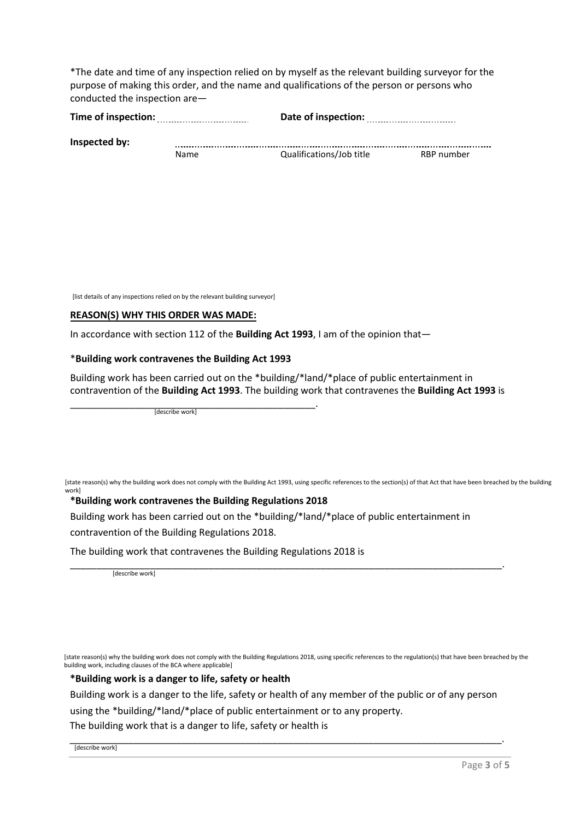\*The date and time of any inspection relied on by myself as the relevant building surveyor for the purpose of making this order, and the name and qualifications of the person or persons who conducted the inspection are—

| Time of inspection: |      | Date of inspection:      |            |  |  |  |  |
|---------------------|------|--------------------------|------------|--|--|--|--|
| Inspected by:       |      |                          |            |  |  |  |  |
|                     | Name | Qualifications/Job title | RBP number |  |  |  |  |

[list details of any inspections relied on by the relevant building surveyor]

#### **REASON(S) WHY THIS ORDER WAS MADE:**

In accordance with section 112 of the **Building Act 1993**, I am of the opinion that—

## \***Building work contravenes the Building Act 1993**

Building work has been carried out on the \*building/\*land/\*place of public entertainment in contravention of the **Building Act 1993**. The building work that contravenes the **Building Act 1993** is

\_\_\_\_\_\_\_\_\_\_\_\_\_\_\_\_\_\_\_\_\_\_\_\_\_\_\_\_\_\_\_\_\_\_\_\_\_\_\_\_\_\_\_\_\_\_. [describe work]

[state reason(s) why the building work does not comply with the Building Act 1993, using specific references to the section(s) of that Act that have been breached by the building work]

## **\*Building work contravenes the Building Regulations 2018**

Building work has been carried out on the \*building/\*land/\*place of public entertainment in contravention of the Building Regulations 2018.

The building work that contravenes the Building Regulations 2018 is

\_\_\_\_\_\_\_\_\_\_\_\_\_\_\_\_\_\_\_\_\_\_\_\_\_\_\_\_\_\_\_\_\_\_\_\_\_\_\_\_\_\_\_\_\_\_\_\_\_\_\_\_\_\_\_\_\_\_\_\_\_\_\_\_\_\_\_\_\_\_\_\_\_\_\_\_\_\_\_\_\_. [describe work]

[state reason(s) why the building work does not comply with the Building Regulations 2018, using specific references to the regulation(s) that have been breached by the building work, including clauses of the BCA where applicable]

#### **\*Building work is a danger to life, safety or health**

Building work is a danger to the life, safety or health of any member of the public or of any person

using the \*building/\*land/\*place of public entertainment or to any property.

The building work that is a danger to life, safety or health is

\_\_\_\_\_\_\_\_\_\_\_\_\_\_\_\_\_\_\_\_\_\_\_\_\_\_\_\_\_\_\_\_\_\_\_\_\_\_\_\_\_\_\_\_\_\_\_\_\_\_\_\_\_\_\_\_\_\_\_\_\_\_\_\_\_\_\_\_\_\_\_\_\_\_\_\_\_\_\_\_\_. [describe work]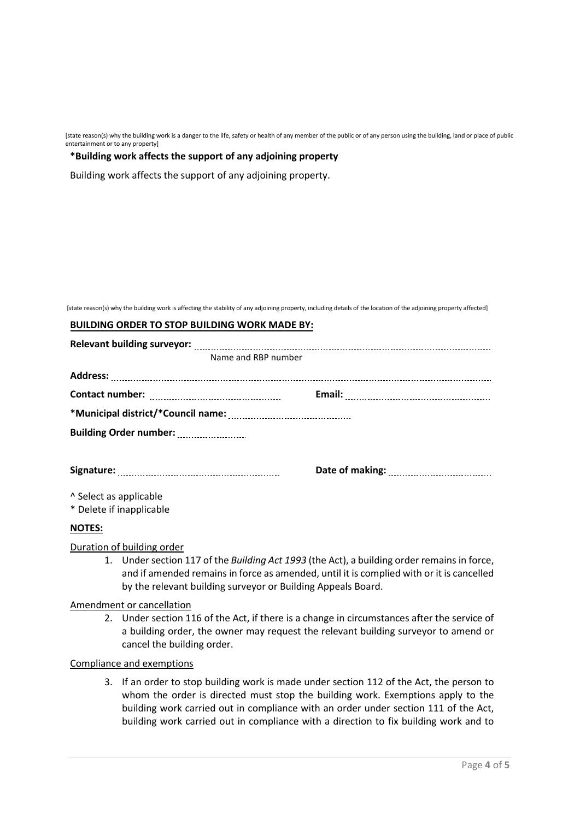[state reason(s) why the building work is a danger to the life, safety or health of any member of the public or of any person using the building, land or place of public entertainment or to any property]

#### **\*Building work affects the support of any adjoining property**

Building work affects the support of any adjoining property.

[state reason(s) why the building work is affecting the stability of any adjoining property, including details of the location of the adjoining property affected]

#### **BUILDING ORDER TO STOP BUILDING WORK MADE BY:**

| <b>Relevant building surveyor:</b>   |  |  |  |  |  |
|--------------------------------------|--|--|--|--|--|
| Name and RBP number                  |  |  |  |  |  |
| <b>Address:</b>                      |  |  |  |  |  |
|                                      |  |  |  |  |  |
|                                      |  |  |  |  |  |
| Building Order number: Manual Museum |  |  |  |  |  |
|                                      |  |  |  |  |  |
|                                      |  |  |  |  |  |
| A Select as applicable               |  |  |  |  |  |
| * Delete if inapplicable             |  |  |  |  |  |
| <b>NOTES:</b>                        |  |  |  |  |  |

Duration of building order

1. Under section 117 of the *Building Act 1993* (the Act), a building order remains in force, and if amended remains in force as amended, until it is complied with or it is cancelled by the relevant building surveyor or Building Appeals Board.

#### Amendment or cancellation

2. Under section 116 of the Act, if there is a change in circumstances after the service of a building order, the owner may request the relevant building surveyor to amend or cancel the building order.

Compliance and exemptions

3. If an order to stop building work is made under section 112 of the Act, the person to whom the order is directed must stop the building work. Exemptions apply to the building work carried out in compliance with an order under section 111 of the Act, building work carried out in compliance with a direction to fix building work and to